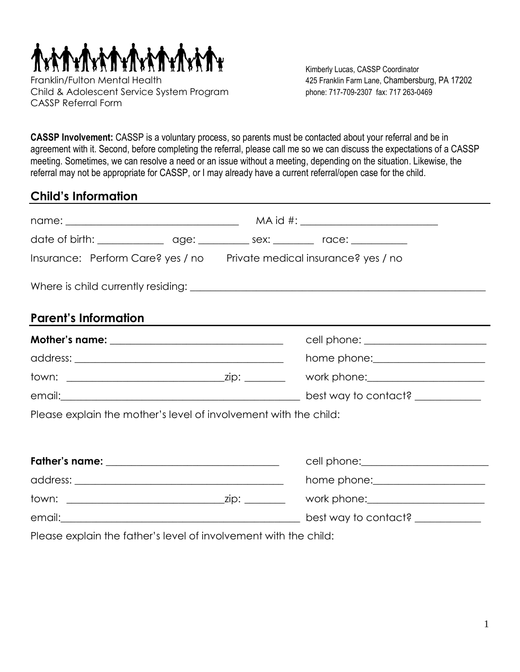

Kimberly Lucas, CASSP Coordinator

**CASSP Involvement:** CASSP is a voluntary process, so parents must be contacted about your referral and be in agreement with it. Second, before completing the referral, please call me so we can discuss the expectations of a CASSP meeting. Sometimes, we can resolve a need or an issue without a meeting, depending on the situation. Likewise, the referral may not be appropriate for CASSP, or I may already have a current referral/open case for the child.

## **Child's Information**

|                                                                  |  | date of birth: _________________ age: __________ sex: _________ race: __________ |
|------------------------------------------------------------------|--|----------------------------------------------------------------------------------|
|                                                                  |  | Insurance: Perform Care? yes / no Private medical insurance? yes / no            |
|                                                                  |  |                                                                                  |
| <b>Parent's Information</b>                                      |  | ,我们也不会有什么。""我们的人,我们也不会有什么?""我们的人,我们也不会有什么?""我们的人,我们也不会有什么?""我们的人,我们也不会有什么?""我们的人 |
| Mother's name: _________________________________                 |  | cell phone: _______________________                                              |
|                                                                  |  | home phone: ______________________                                               |
|                                                                  |  | work phone: _______________________                                              |
|                                                                  |  | best way to contact?                                                             |
| Please explain the mother's level of involvement with the child: |  |                                                                                  |
|                                                                  |  |                                                                                  |
| Father's name: __________________________________                |  |                                                                                  |
|                                                                  |  |                                                                                  |
|                                                                  |  | work phone: $\sqrt{2\pi}$ work phone:                                            |
|                                                                  |  | best way to contact? ____________                                                |
| Please explain the father's level of involvement with the child: |  |                                                                                  |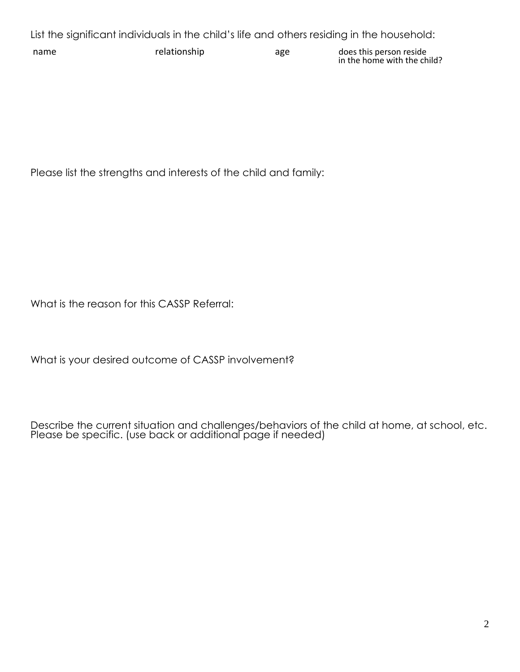List the significant individuals in the child's life and others residing in the household:

name relationship age does this person reside in the home with the child?

Please list the strengths and interests of the child and family:

What is the reason for this CASSP Referral:

What is your desired outcome of CASSP involvement?

Describe the current situation and challenges/behaviors of the child at home, at school, etc. Please be specific. (use back or additional page if needed)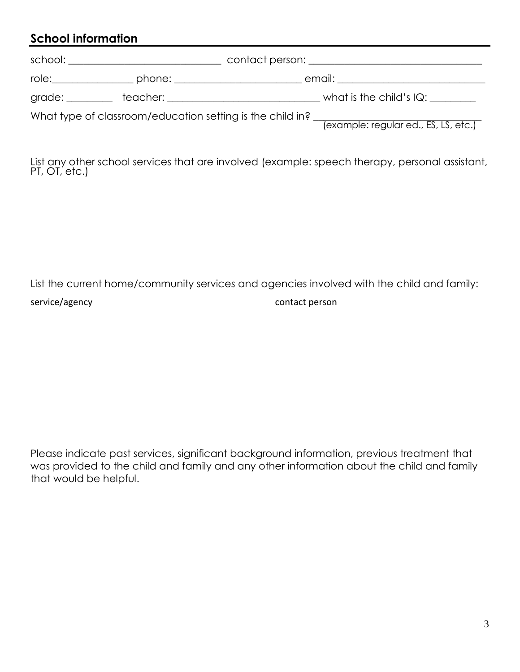## **School information**

| role: a controller and the controller and the controller and controller and controller and controller and controller and controller and controller and controller and controller and controller and controller and controller | phone: ______________________                                                                                                                                                                                                 | email: _________________________                                                                  |
|-------------------------------------------------------------------------------------------------------------------------------------------------------------------------------------------------------------------------------|-------------------------------------------------------------------------------------------------------------------------------------------------------------------------------------------------------------------------------|---------------------------------------------------------------------------------------------------|
|                                                                                                                                                                                                                               | teacher: when the contract of the contract of the contract of the contract of the contract of the contract of the contract of the contract of the contract of the contract of the contract of the contract of the contract of | what is the child's $IQ:$                                                                         |
|                                                                                                                                                                                                                               |                                                                                                                                                                                                                               | What type of classroom/education setting is the child in?<br>(example: regular ed., ES, LS, etc.) |

List any other school services that are involved (example: speech therapy, personal assistant, PT, OT, etc.)

## List the current home/community services and agencies involved with the child and family: service/agency contact person

Please indicate past services, significant background information, previous treatment that was provided to the child and family and any other information about the child and family that would be helpful.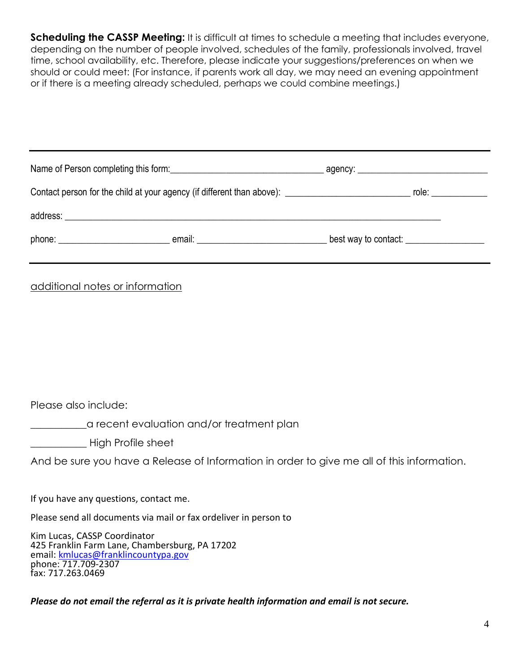**Scheduling the CASSP Meeting:** It is difficult at times to schedule a meeting that includes everyone, depending on the number of people involved, schedules of the family, professionals involved, travel time, school availability, etc. Therefore, please indicate your suggestions/preferences on when we should or could meet: (For instance, if parents work all day, we may need an evening appointment or if there is a meeting already scheduled, perhaps we could combine meetings.)

| additional notes or information                                                                                                                                   |                                                                                            |
|-------------------------------------------------------------------------------------------------------------------------------------------------------------------|--------------------------------------------------------------------------------------------|
|                                                                                                                                                                   |                                                                                            |
|                                                                                                                                                                   |                                                                                            |
|                                                                                                                                                                   |                                                                                            |
|                                                                                                                                                                   |                                                                                            |
| Please also include:                                                                                                                                              |                                                                                            |
| a recent evaluation and/or treatment plan                                                                                                                         |                                                                                            |
| High Profile sheet                                                                                                                                                |                                                                                            |
|                                                                                                                                                                   | And be sure you have a Release of Information in order to give me all of this information. |
| If you have any questions, contact me.                                                                                                                            |                                                                                            |
| Please send all documents via mail or fax ordeliver in person to                                                                                                  |                                                                                            |
| Kim Lucas, CASSP Coordinator<br>425 Franklin Farm Lane, Chambersburg, PA 17202<br>email: kmlucas@franklincountypa.gov<br>phone: 717.709-2307<br>fax: 717.263.0469 |                                                                                            |

*Please do not email the referral as it is private health information and email is not secure.*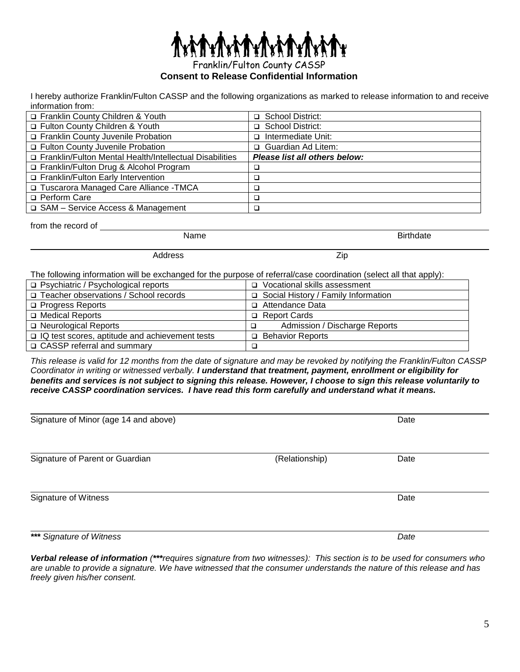Franklin/Fulton County CASSP

**Consent to Release Confidential Information**

I hereby authorize Franklin/Fulton CASSP and the following organizations as marked to release information to and receive information from:

| Franklin County Children & Youth                          | □ School District:            |
|-----------------------------------------------------------|-------------------------------|
| □ Fulton County Children & Youth                          | □ School District:            |
| Franklin County Juvenile Probation                        | □ Intermediate Unit:          |
| □ Fulton County Juvenile Probation                        | □ Guardian Ad Litem:          |
| □ Franklin/Fulton Mental Health/Intellectual Disabilities | Please list all others below: |
| Franklin/Fulton Drug & Alcohol Program                    |                               |
| Franklin/Fulton Early Intervention                        |                               |
| □ Tuscarora Managed Care Alliance -TMCA                   |                               |
| □ Perform Care                                            |                               |
| □ SAM – Service Access & Management                       |                               |

Name Birthdate

from the record of

Address Zip

The following information will be exchanged for the purpose of referral/case coordination (select all that apply):

| □ Psychiatric / Psychological reports                 | □ Vocational skills assessment        |
|-------------------------------------------------------|---------------------------------------|
| □ Teacher observations / School records               | □ Social History / Family Information |
| □ Progress Reports                                    | □ Attendance Data                     |
| □ Medical Reports                                     | Report Cards                          |
| □ Neurological Reports                                | Admission / Discharge Reports         |
| $\Box$ IQ test scores, aptitude and achievement tests | <b>D</b> Behavior Reports             |
| □ CASSP referral and summary                          |                                       |

*This release is valid for 12 months from the date of signature and may be revoked by notifying the Franklin/Fulton CASSP Coordinator in writing or witnessed verbally. I understand that treatment, payment, enrollment or eligibility for benefits and services is not subject to signing this release. However, I choose to sign this release voluntarily to receive CASSP coordination services. I have read this form carefully and understand what it means.*

| Signature of Minor (age 14 and above) |                | Date |  |
|---------------------------------------|----------------|------|--|
| Signature of Parent or Guardian       | (Relationship) | Date |  |
| Signature of Witness                  |                | Date |  |
| *** Signature of Witness              |                | Date |  |

*Verbal release of information (\*\*\*requires signature from two witnesses): This section is to be used for consumers who are unable to provide a signature. We have witnessed that the consumer understands the nature of this release and has freely given his/her consent.*